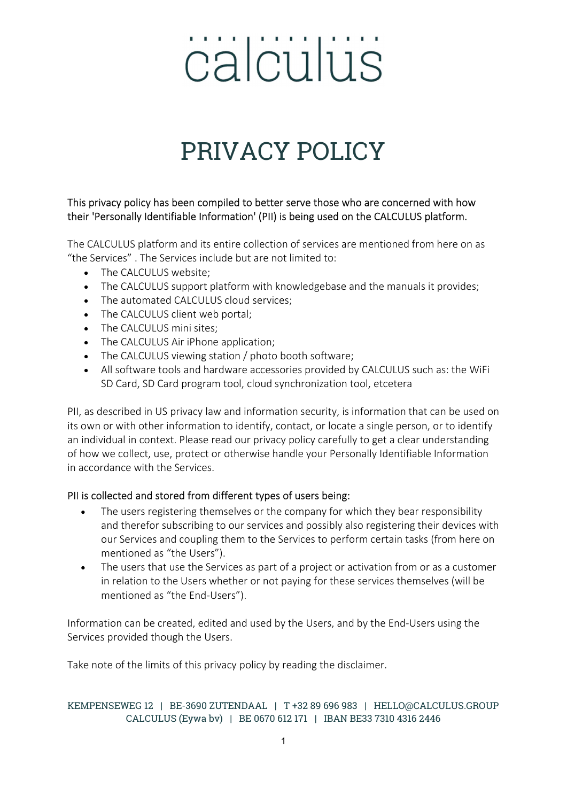### PRIVACY POLICY

#### This privacy policy has been compiled to better serve those who are concerned with how their 'Personally Identifiable Information' (PII) is being used on the CALCULUS platform.

The CALCULUS platform and its entire collection of services are mentioned from here on as "the Services" . The Services include but are not limited to:

- The CALCULUS website:
- The CALCULUS support platform with knowledgebase and the manuals it provides;
- The automated CALCULUS cloud services:
- The CALCULUS client web portal;
- The CALCULUS mini sites;
- The CALCULUS Air iPhone application;
- The CALCULUS viewing station / photo booth software;
- All software tools and hardware accessories provided by CALCULUS such as: the WiFi SD Card, SD Card program tool, cloud synchronization tool, etcetera

PII, as described in US privacy law and information security, is information that can be used on its own or with other information to identify, contact, or locate a single person, or to identify an individual in context. Please read our privacy policy carefully to get a clear understanding of how we collect, use, protect or otherwise handle your Personally Identifiable Information in accordance with the Services.

#### PII is collected and stored from different types of users being:

- The users registering themselves or the company for which they bear responsibility and therefor subscribing to our services and possibly also registering their devices with our Services and coupling them to the Services to perform certain tasks (from here on mentioned as "the Users").
- The users that use the Services as part of a project or activation from or as a customer in relation to the Users whether or not paying for these services themselves (will be mentioned as "the End-Users").

Information can be created, edited and used by the Users, and by the End-Users using the Services provided though the Users.

Take note of the limits of this privacy policy by reading the disclaimer.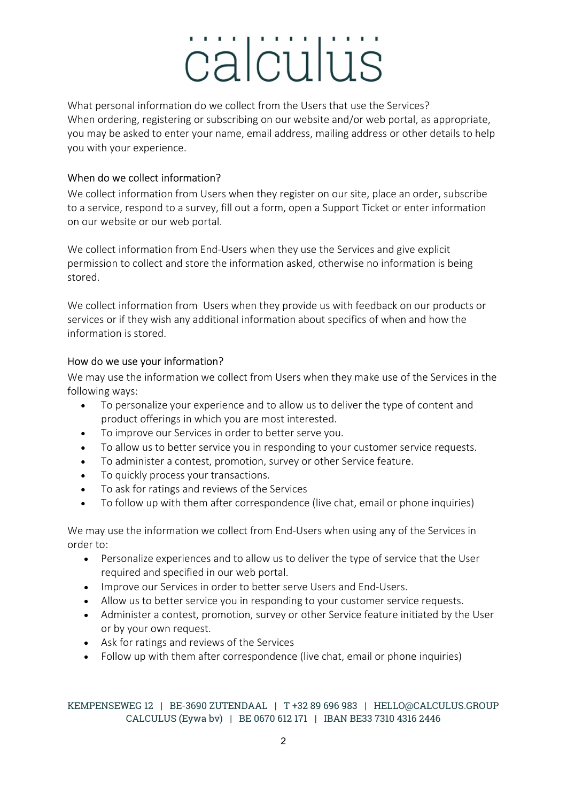What personal information do we collect from the Users that use the Services? When ordering, registering or subscribing on our website and/or web portal, as appropriate, you may be asked to enter your name, email address, mailing address or other details to help you with your experience.

#### When do we collect information?

We collect information from Users when they register on our site, place an order, subscribe to a service, respond to a survey, fill out a form, open a Support Ticket or enter information on our website or our web portal.

We collect information from End-Users when they use the Services and give explicit permission to collect and store the information asked, otherwise no information is being stored.

We collect information from Users when they provide us with feedback on our products or services or if they wish any additional information about specifics of when and how the information is stored.

#### How do we use your information?

We may use the information we collect from Users when they make use of the Services in the following ways:

- To personalize your experience and to allow us to deliver the type of content and product offerings in which you are most interested.
- To improve our Services in order to better serve you.
- To allow us to better service you in responding to your customer service requests.
- To administer a contest, promotion, survey or other Service feature.
- To quickly process your transactions.
- To ask for ratings and reviews of the Services
- To follow up with them after correspondence (live chat, email or phone inquiries)

We may use the information we collect from End-Users when using any of the Services in order to:

- Personalize experiences and to allow us to deliver the type of service that the User required and specified in our web portal.
- **IMPROVE OUT SERVICES IN ORDER to better serve Users and End-Users.**
- Allow us to better service you in responding to your customer service requests.
- Administer a contest, promotion, survey or other Service feature initiated by the User or by your own request.
- Ask for ratings and reviews of the Services
- Follow up with them after correspondence (live chat, email or phone inquiries)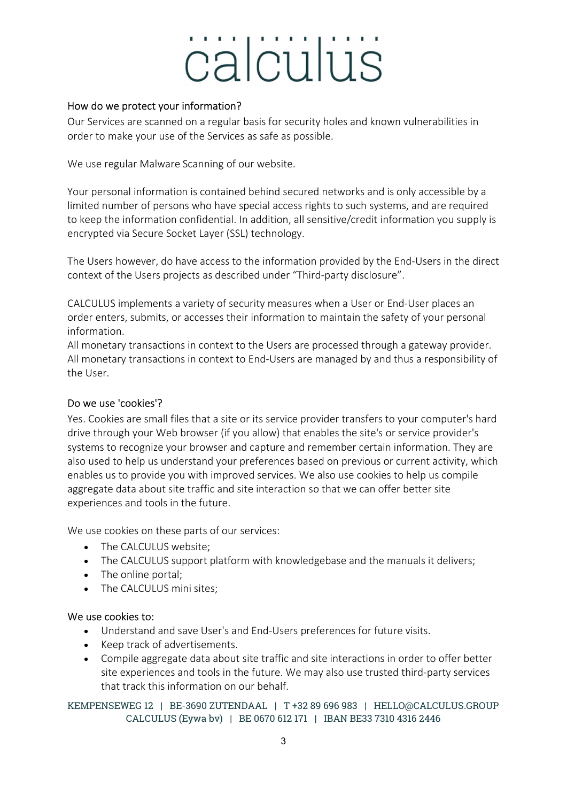#### How do we protect your information?

Our Services are scanned on a regular basis for security holes and known vulnerabilities in order to make your use of the Services as safe as possible.

We use regular Malware Scanning of our website.

Your personal information is contained behind secured networks and is only accessible by a limited number of persons who have special access rights to such systems, and are required to keep the information confidential. In addition, all sensitive/credit information you supply is encrypted via Secure Socket Layer (SSL) technology.

The Users however, do have access to the information provided by the End-Users in the direct context of the Users projects as described under "Third-party disclosure".

CALCULUS implements a variety of security measures when a User or End-User places an order enters, submits, or accesses their information to maintain the safety of your personal information.

All monetary transactions in context to the Users are processed through a gateway provider. All monetary transactions in context to End-Users are managed by and thus a responsibility of the User.

#### Do we use 'cookies'?

Yes. Cookies are small files that a site or its service provider transfers to your computer's hard drive through your Web browser (if you allow) that enables the site's or service provider's systems to recognize your browser and capture and remember certain information. They are also used to help us understand your preferences based on previous or current activity, which enables us to provide you with improved services. We also use cookies to help us compile aggregate data about site traffic and site interaction so that we can offer better site experiences and tools in the future.

We use cookies on these parts of our services:

- The CALCULUS website;
- The CALCULUS support platform with knowledgebase and the manuals it delivers;
- The online portal;
- The CALCULUS mini sites;

#### We use cookies to:

- Understand and save User's and End-Users preferences for future visits.
- Keep track of advertisements.
- Compile aggregate data about site traffic and site interactions in order to offer better site experiences and tools in the future. We may also use trusted third-party services that track this information on our behalf.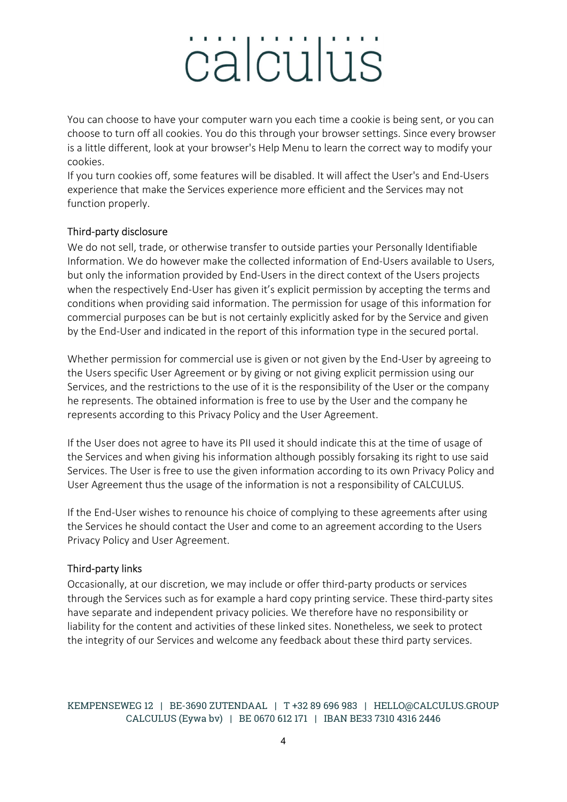You can choose to have your computer warn you each time a cookie is being sent, or you can choose to turn off all cookies. You do this through your browser settings. Since every browser is a little different, look at your browser's Help Menu to learn the correct way to modify your cookies.

If you turn cookies off, some features will be disabled. It will affect the User's and End-Users experience that make the Services experience more efficient and the Services may not function properly.

#### Third-party disclosure

We do not sell, trade, or otherwise transfer to outside parties your Personally Identifiable Information. We do however make the collected information of End-Users available to Users, but only the information provided by End-Users in the direct context of the Users projects when the respectively End-User has given it's explicit permission by accepting the terms and conditions when providing said information. The permission for usage of this information for commercial purposes can be but is not certainly explicitly asked for by the Service and given by the End-User and indicated in the report of this information type in the secured portal.

Whether permission for commercial use is given or not given by the End-User by agreeing to the Users specific User Agreement or by giving or not giving explicit permission using our Services, and the restrictions to the use of it is the responsibility of the User or the company he represents. The obtained information is free to use by the User and the company he represents according to this Privacy Policy and the User Agreement.

If the User does not agree to have its PII used it should indicate this at the time of usage of the Services and when giving his information although possibly forsaking its right to use said Services. The User is free to use the given information according to its own Privacy Policy and User Agreement thus the usage of the information is not a responsibility of CALCULUS.

If the End-User wishes to renounce his choice of complying to these agreements after using the Services he should contact the User and come to an agreement according to the Users Privacy Policy and User Agreement.

#### Third-party links

Occasionally, at our discretion, we may include or offer third-party products or services through the Services such as for example a hard copy printing service. These third-party sites have separate and independent privacy policies. We therefore have no responsibility or liability for the content and activities of these linked sites. Nonetheless, we seek to protect the integrity of our Services and welcome any feedback about these third party services.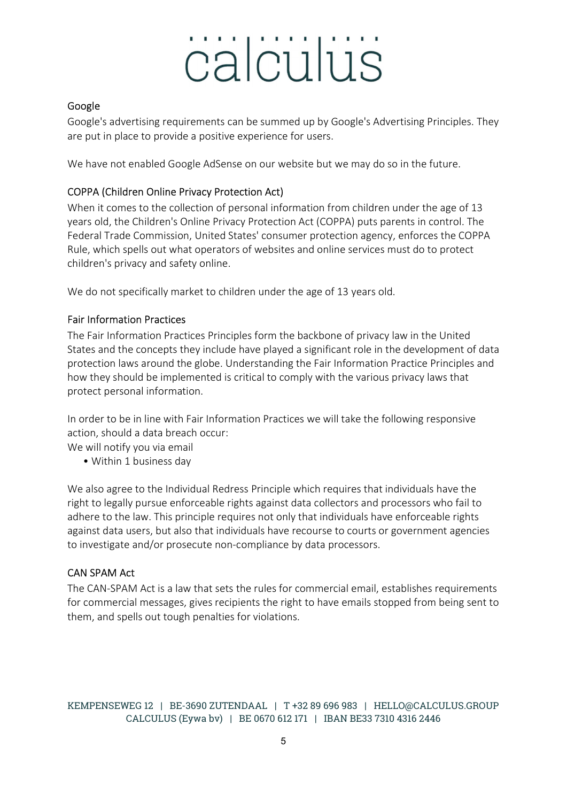#### Google

Google's advertising requirements can be summed up by Google's Advertising Principles. They are put in place to provide a positive experience for users.

We have not enabled Google AdSense on our website but we may do so in the future.

#### COPPA (Children Online Privacy Protection Act)

When it comes to the collection of personal information from children under the age of 13 years old, the Children's Online Privacy Protection Act (COPPA) puts parents in control. The Federal Trade Commission, United States' consumer protection agency, enforces the COPPA Rule, which spells out what operators of websites and online services must do to protect children's privacy and safety online.

We do not specifically market to children under the age of 13 years old.

#### Fair Information Practices

The Fair Information Practices Principles form the backbone of privacy law in the United States and the concepts they include have played a significant role in the development of data protection laws around the globe. Understanding the Fair Information Practice Principles and how they should be implemented is critical to comply with the various privacy laws that protect personal information.

In order to be in line with Fair Information Practices we will take the following responsive action, should a data breach occur:

We will notify you via email

• Within 1 business day

We also agree to the Individual Redress Principle which requires that individuals have the right to legally pursue enforceable rights against data collectors and processors who fail to adhere to the law. This principle requires not only that individuals have enforceable rights against data users, but also that individuals have recourse to courts or government agencies to investigate and/or prosecute non-compliance by data processors.

#### CAN SPAM Act

The CAN-SPAM Act is a law that sets the rules for commercial email, establishes requirements for commercial messages, gives recipients the right to have emails stopped from being sent to them, and spells out tough penalties for violations.